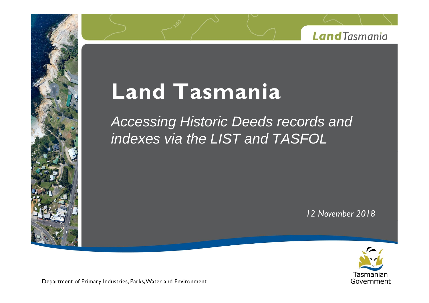

# **Tand Tasmania**<br> **Tand Tasmania**

Accessing Historic Deeds records and indexes via the LIST and TASFOL

*November <sup>2018</sup>*



Department of Primary Industries, Parks, Water and Environment

**Land**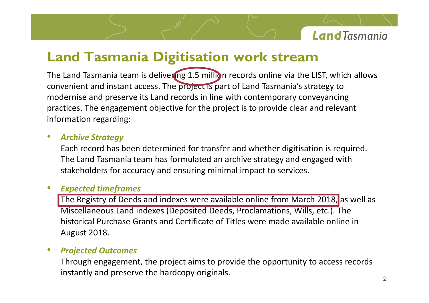

# Land Tasmania Digitisation work stream<br>Land Tasmania team is delivering 1.5 million records online via the LIST, which allows **Tasmania Digitisation work stream**

**and Tasmania Digitisation work stream**<br> **and instant access. The project is part of Land Tasmania**<sup>2</sup>s strategy to **Examber 2018**<br> **Examber 2019 12:30 September 2019 12:30 September 2019 12:30 September 2019 12:30 September 2019 12:30 September 2019 12:30 September 2019 12:30 and instant access. The project is part of Land Tasmania's s** Tasmania Digitisation work stream<br>
Tasmania team is delivering 1.5 million records online via the LIST, which allows<br>
t and instant access. The project is part of Land Tasmania's strategy to<br>
Peroperior is Land records in **Land Tasmania**<br>The Land Tasmania team is<br>convenient and instant acce<br>modernise and preserve its<br>practices. The engagement<br>information regarding: practices. The engagement objective for the project is to provide clear and relevant Land Tasmania team is devenient and instant access<br> *Archise* and preserve its Land<br> *Citices*. The engagement of<br> *Strategy*<br> *Archive Strategy* **Land** convenient and instant access. The project is part of Land Tasmania's strategy to modernise and preserve its Land records in line with contemporary conveyancing practices. The engagement objective for the project is to pro ent and instant access. The project is part of Land Tasmania's strategy to<br>ise and preserve its Land records in line with contemporary conveyancing<br>s. The engagement objective for the project is to provide clear and releva modernise and preserve its Land records in line with contemporary conveyancing modernise and preserve its Land records in line with contemporary conveys<br>practices. The engagement objective for the project is to provide clear and<br>information regarding:<br>**Archive Strategy**<br>Each record has been determine

### **Archive Strategy**

convenient

practices.<br>Practices

stakeholders for accuracy and ensuring minimal impact to services. nive Strategy<br>
In record has been determined for transfer and whether digitisation is required.<br>
Land Tasmania team has formulated an archive strategy and engaged with<br>
Pholders for accuracy and ensuring minimal impact to **Somerand independent independent Constrained Someton** is required.<br>
Somether distincts and the same in a series and engaged with<br>
Fracturacy and ensuring minimal impact to services.<br>
The Deeds and indexes were available o Each record has been determined for transfer and whether digitisation is required. The Lar

### **Expected timeframes**

rd has been determined for transfer and whether digitisation is required.<br>Tasmania team has formulated an archive strategy and engaged with<br>ers for accuracy and ensuring minimal impact to services.<br>**timeframes**<br>try of Deed The Land Tasmani<br>
stakeholders for a<br> **Expected timefral**<br>
The Registry of De<br>
Miscellaneous Lar<br>
historical Purchas<br>
August 2018. **Expected timeframes**<br>The Registry of Deeds and in<br>Miscellaneous Land indexes<br>historical Purchase Grants a<br>August 2018.<br>Proiected Outcomes I time transies and indexes were available online from March 2018, as well as<br>heous Land indexes (Deposited Deeds, Proclamations, Wills, etc.). The<br>Purchase Grants and Certificate of Titles were made available online in<br>01 **ine Regi** Stry of Deeds and Indexes were available requisitions Land indexes (Deposited Deeds, Proportions Proposited Of Titles<br>2018.<br>**A Outcomes**<br>A **Outcomes**<br>A **Outcomes**<br>A **Culticanal Stranger Constants in the proportions of Prov** 

### $\bullet$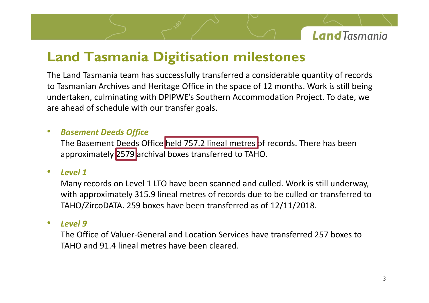

# **Tasmania Digitisation milestones** Land Tasmania Digitisation milestones<br>Land Tasmania team has successfully transferred a considerable quantity of records

and Tasmania Digitisation milestones<br>and Tasmania team has successfully transferred a considerable quantity of records<br>Tasmanian Archives and Heritage Office in the space of 12 months. Work is still being **Culmination Southern Accommodation Southern Accommodation Southern Accommodation Project. To date, we**<br>
The Southern Accommodation Project. To date, we<br>
The Southern Accommodation Project. To date, we **and Tasmania Digitisation**<br>
Land Tasmania team has successfully transferr<br>
asmanian Archives and Heritage Office in the spertaken, culminating with DPIPWE's Southern A<br>
ahead of schedule with our transfer goals. u<br>o **Basemian Control Control Control Control Control Control Control Control Control Control Control Control Control Control Control Control Control Control Control Control Control Control Control Control Control Control Cont** The Land Tasmania team has successfully transferred a considerable quantity of records d Tasmania team has successfully transferred a considerable quantity of records<br>anian Archives and Heritage Office in the space of 12 months. Work is still being<br>ken, culminating with DPIPWE's Southern Accommodation Projec .<br>asmanian Arch to Tasmanian Archives and Heritage Office in the space of 12 moundertaken, culminating with DPIPWE's Southern Accommodati<br>are ahead of schedule with our transfer goals.<br> **Basement Deeds Office**<br>
The Basement Deeds Office h anead

### **Basement Deeds Office**

*Leveland of schedu*<br> *Level Deed.*<br>
The Basement D<br> *Level 1* aneau or schedule with our transier goals.<br> **Basement Deeds Office**<br>
The Basement Deeds Office held 757.2 lineal metres of records. There has been<br>
approximately 2579 archival boxes transferred to TAHO.<br> **Level 1**<br>
Many re **ment Deeds Office**<br>Basement Deeds Office <mark>held 757.2 lineal metres </mark>of records. There has been<br>Distinately 2579 archival boxes transferred to TAHO.<br>I 1<br>approximately 315.9 lineal metres of records due to be culled or tran

### Level 1

to

are<br>are designed and the second second second and second second second second second second second second second <br>and the second second second second second second second second second second second second second second se

**Boxement Deeds Office**<br>
The Basement Deeds Office held 757.2 lineal metres of records. There has<br>
approximately 2579 archival boxes transferred to TAHO.<br> **Level 1**<br>
Many records on Level 1 LTO have been scanned and culled approximately 2579 archival boxes transferred to TAHO.<br> **Level 1**<br>
Many records on Level 1 LTO have been scanned and culled. Work is still underway,<br>
with approximately 315.9 lineal metres of records due to be culled or tr of 1<br>
Office of Valuer-General and culled. Work is still underway,<br>
approximately 315.9 lineal metres of records due to be culled or transferred to<br>
O/ZircoDATA. 259 boxes have been transferred as of 12/11/2018.<br>
Office of **The Sand Senary Senson Serven Scale Serveror**<br>The Scannal proximately 315.9 lineal metres of record<br>The Scannal metres have been transferre<br>Scannal Markey<br>Frice of Valuer-General and Location Service<br>and 91.4 lineal metre

### $\bullet$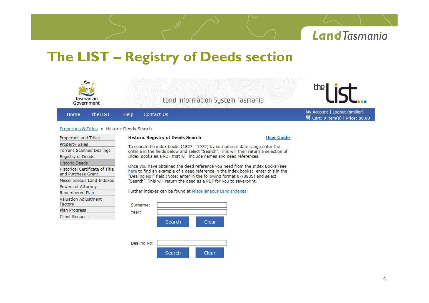

# **The LIST Registry of Deeds section**

Search

Search

Dealing No:

| Tasmanian<br>Government                               |         | Land Information System Tasmania                                                                                                                                                                                                                   | the                                                                                    |                   |                                                                  |
|-------------------------------------------------------|---------|----------------------------------------------------------------------------------------------------------------------------------------------------------------------------------------------------------------------------------------------------|----------------------------------------------------------------------------------------|-------------------|------------------------------------------------------------------|
| Home                                                  | theLIST | <b>Help</b><br>Contact Us                                                                                                                                                                                                                          |                                                                                        |                   | My Account   Logout (smiller)<br>Cart: 0 item(s)   Price: \$0.00 |
|                                                       |         | Properties & Titles » Historic Deeds Search                                                                                                                                                                                                        |                                                                                        |                   |                                                                  |
| Properties and Titles                                 |         | <b>Historic Registry of Deeds Search</b>                                                                                                                                                                                                           |                                                                                        | <b>User Guide</b> |                                                                  |
| Property Sales                                        |         |                                                                                                                                                                                                                                                    | To search the index books (1827 - 1972) by surname or date range enter the             |                   |                                                                  |
| <b>Torrens Scanned Dealings</b>                       |         |                                                                                                                                                                                                                                                    | criteria in the fields below and select "Search". This will then return a selection of |                   |                                                                  |
| Registry of Deeds                                     |         |                                                                                                                                                                                                                                                    | Index Books as a PDF that will include names and deed references.                      |                   |                                                                  |
| <b>Historic Deeds</b>                                 |         |                                                                                                                                                                                                                                                    |                                                                                        |                   |                                                                  |
| Historical Certificate of Title<br>and Purchase Grant |         | Once you have obtained the deed reference you need from the Index Books (see<br>here to find an example of a deed reference in the index books), enter this in the<br>"Dealing No:" field (Note: enter in the following format 07/3805) and select |                                                                                        |                   |                                                                  |
| Miscellaneous Land Indexes                            |         | "Search". This will return the deed as a PDF for you to save/print.                                                                                                                                                                                |                                                                                        |                   |                                                                  |
| Powers of Attorney                                    |         |                                                                                                                                                                                                                                                    |                                                                                        |                   |                                                                  |
| Renumbered Plan                                       |         | Further indexes can be found at Miscellaneous Land Indexes                                                                                                                                                                                         |                                                                                        |                   |                                                                  |
| Valuation Adjustment<br>Factors                       |         | Surname:                                                                                                                                                                                                                                           |                                                                                        |                   |                                                                  |
| Plan Progress                                         |         | Year:                                                                                                                                                                                                                                              |                                                                                        |                   |                                                                  |
| <b>Client Request</b>                                 |         |                                                                                                                                                                                                                                                    |                                                                                        |                   |                                                                  |

Clear

Clear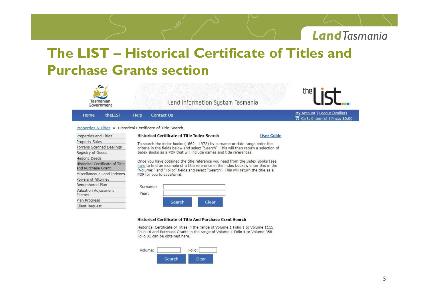

### **LIST Historical Certificate of Titles and** The LIST – Historical Certificate



| Miscellaneous Land Indexes             | PDF for you |
|----------------------------------------|-------------|
| Powers of Attorney                     |             |
| Renumbered Plan                        | Surname:    |
| <b>Valuation Adjustment</b><br>Factors | Year:       |
| Plan Progress                          |             |
| <b>Client Request</b>                  |             |

### **Historical Certificate of Title And Purchase Grant Search**

Historical Certificate of Titles in the range of Volume 1 Folio 1 to Volume 1115 Folio 16 and Purchase Grants in the range of Volume 1 Folio 1 to Volume 358 Folio 31 can be obtained here.

Clear



Search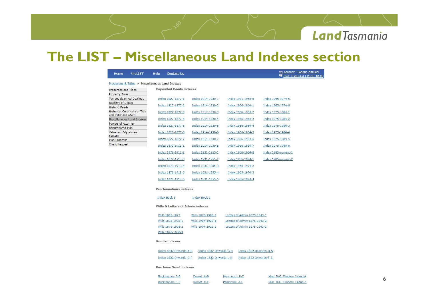

# **incontract** *Miscellaneous* **Land Indexes section**

| Home                            | theLIST                                          | Help | Contact Us                       |                        |              |                              | My Account   Logout (smiller)<br>Cart: 0 item(s)   Price: \$0.00 |
|---------------------------------|--------------------------------------------------|------|----------------------------------|------------------------|--------------|------------------------------|------------------------------------------------------------------|
|                                 | Properties & Titles » Miscellaneous Land Indexes |      |                                  |                        |              |                              |                                                                  |
| Properties and Titles           |                                                  |      | <b>Deposited Deeds indexes</b>   |                        |              |                              |                                                                  |
| Property Sales                  |                                                  |      |                                  |                        |              |                              |                                                                  |
| Registry of Deeds               | Torrens Scanned Dealings                         |      | Index 1827-1877-1                | Index 1914-1930-1      |              | Index 1931-1955-6            | Index 1965-1974-5                                                |
| <b>Historic Deeds</b>           |                                                  |      | Index 1827-1877-2                | Index 1914-1930-2      |              | Index 1956-1964-1            | Index 1965-1974-6                                                |
| and Purchase Grant              | Historical Certificate of Title                  |      | Index 1827-1877-3                | Index 1914-1930-3      |              | Index 1956-1964-2            | Index 1975-1984-1                                                |
|                                 | Miscellaneous Land Indexes                       |      | Index 1827-1877-4                | Index 1914-1930-4      |              | Index 1956-1964-3            | Index 1975-1984-2                                                |
| Powers of Attorney              |                                                  |      | Index 1827-1877-5                | Index 1914-1930-5      |              | Index 1956-1964-4            | Index 1975-1984-3                                                |
| Renumbered Plan                 |                                                  |      |                                  |                        |              |                              |                                                                  |
| Valuation Adjustment<br>Factors |                                                  |      | Index 1827-1877-6                | Index 1914-1930-6      |              | Index 1956-1964-5            | Index 1975-1984-4                                                |
| Plan Progress                   |                                                  |      | Index 1827-1877-7                | Index 1914-1930-7      |              | Index 1956-1964-6            | Index 1975-1984-5                                                |
| <b>Client Request</b>           |                                                  |      | Index 1879-1913-1                | Index 1914-1930-8      |              | Index 1956-1964-7            | Index 1975-1984-6                                                |
|                                 |                                                  |      | Index 1879-1913-2                | Index 1931-1955-1      |              | Index 1956-1964-8            | Index 1985-current-1                                             |
|                                 |                                                  |      | Index 1879-1913-3                | Index 1931-1955-2      |              | Index 1965-1974-1            | Index 1985-current-2                                             |
|                                 |                                                  |      | Index 1879-1913-4                | Index 1931-1955-3      |              | Index 1965-1974-2            |                                                                  |
|                                 |                                                  |      | Index 1879-1913-5                | Index 1931-1955-4      |              | Index 1965-1974-3            |                                                                  |
|                                 |                                                  |      | Index 1879-1913-6                | Index 1931-1955-5      |              | Index 1965-1974-4            |                                                                  |
|                                 |                                                  |      | <b>Proclaimations indexes</b>    |                        |              |                              |                                                                  |
|                                 |                                                  |      | <b>Index Book 1</b>              | <b>Index Book 2</b>    |              |                              |                                                                  |
|                                 |                                                  |      | Wills & Letters of Admin indexes |                        |              |                              |                                                                  |
|                                 |                                                  |      | Wills 1845-1877                  | Wills 1878-1908-4      |              | Letters of Admin 1875-1943-1 |                                                                  |
|                                 |                                                  |      | Wills 1878-1908-1                | Wills 1904-1929-1      |              | Letters of Admin 1875-1943-2 |                                                                  |
|                                 |                                                  |      | Wills 1878-1908-2                | Wills 1904-1929-2      |              | Letters of Admin 1875-1943-3 |                                                                  |
|                                 |                                                  |      | Wills 1878-1908-3                |                        |              |                              |                                                                  |
|                                 |                                                  |      | <b>Grants indexes</b>            |                        |              |                              |                                                                  |
|                                 |                                                  |      | Index 1832 Onwards-A-B           | Index 1832 Onwards-G-K |              | Index 1832 Onwards-O-S       |                                                                  |
|                                 |                                                  |      | Index 1832 Onwards-C-F           | Index 1832 Onwards-L-N |              | Index 1832 Onwards-T-Z       |                                                                  |
|                                 |                                                  |      | <b>Purchase Grant indexes</b>    |                        |              |                              |                                                                  |
|                                 |                                                  |      | <b>Buckingham A-B</b>            | Dorset A-B             | Monmouth P-Z |                              | Misc D-G Flinders Island-4                                       |
|                                 |                                                  |      | <b>Buckingham C-F</b>            | Dorset C-E             | Pembroke A-L |                              | Misc D-G Flinders Island-5                                       |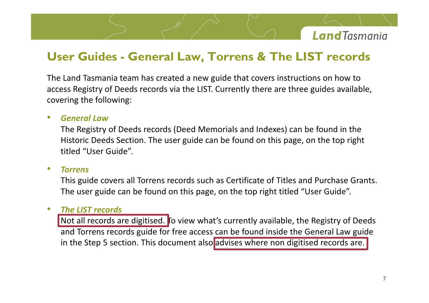

# Land Tasmania team has created a new guide that covers instructions on how to **EXECUTE:** The Contract Contract Contract Contract Contract Contract Contract Contract Contract Contract Contract Contract Contract Contract Contract Contract Contract Contract Contract Contract Contract Contract Contract

**Example 19 Concernsive Concernsive Concernsive Concernsive Concernsive Concernsive Concernsive Concernsive Concernsive Concernsive Concernsive Concernsive Concernsive Concernsive Concernsive Concernsive Concernsive Concer Guides - Gen<br>Tasmania team han<br>Explored Following:**<br>The following: access Registry of Deeds records via the LIST. Currently there are three guides available. **Figure 6 Searth Convention Ceneral Convertions Convertigation Centify Searth Centify Searth Centify Searth Centify Searth Centify Searth Centify Searth Centify Searth Centify Searth Centify Searth Centify Searth Centify S** Guides - General Law, I orrens & I he LIST records<br>d Tasmania team has created a new guide that covers instructions on how to<br>legistry of Deeds records via the LIST. Currently there are three guides available,<br>g the follow smania team has created a new guide that covers instructions on how to<br>try of Deeds records via the LIST. Currently there are three guides available,<br>e following:<br>Istry of Deeds records (Deed Memorials and Indexes) can be The Land Tasmania team has created a new guide that covers instructions on how to The Land Tasmania team ha<br>
access Registry of Deeds red<br>
covering the following:<br>
• General Law<br>
The Registry of Deeds re<br>
Historic Deeds Section.<br>
titled "User Guide".

ering the follov<br>*General Law*<br>The Registry of<br>Historic Deeds<br>titled "User Gu<br>*Torrens* <mark>General Law</mark><br>The Registry of Deeds records (Deed Memorials and Indexes) can be found in the<br>Historic Deeds Section. The user guide can be found on this page, on the top right<br>titled "User Guide".<br>This guide covers all Tor • **General Law**<br>
The Registry of Deeds records (Deed Memorials and Indexes) can be found in the<br>
Historic Deeds Section. The user guide can be found on this page, on the top right<br>
titled "User Guide".<br>
• **Torrens**<br>
This g *Historic Deeds Section.<br>
<i>The "User Guide".*<br> *This guide covers all Tor*<br> *The user guide can be fertion LIST records* titled "User Guide".

### **Torrens**

d "User Guide".<br> **ens**<br>
guide covers all Torrens records such as Certificate of Titles and Purchase Grants.<br>
user guide can be found on this page, on the top right titled "User Guide".<br> **LIST records**<br>
all records are digi **ens**<br>guide covers all Torrens records such as Certificate of Titles and Purchase Grants.<br>user guide can be found on this page, on the top right titled "User Guide".<br>Interpries and the General Law guide the General Law gui

### $\bullet$

rrens<br>is guide covers all Torrens records such as Certificate of Titles and Purchase Grants.<br>e user guide can be found on this page, on the top right titled "User Guide".<br><mark>e LIST records</mark><br>ot all records are digitised. To v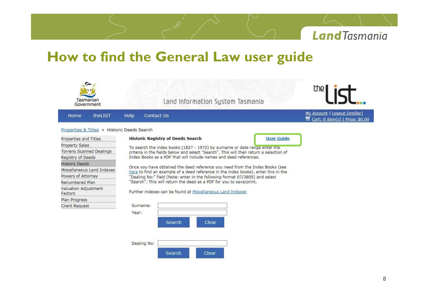

## **the** *General* **Law user guide**<br> **thow to find the General Law user guide**

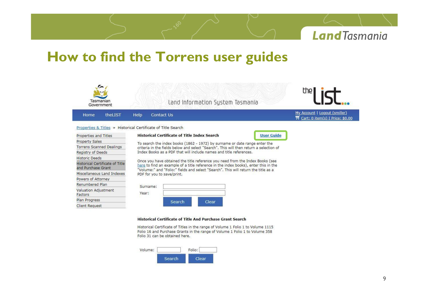

### **to find the Torrens user guides**



Historical Certificate of Titles in the range of Volume 1 Folio 1 to Volume 1115 Folio 16 and Purchase Grants in the range of Volume 1 Folio 1 to Volume 358 Folio 31 can be obtained here.

| Volume: |        | Folio: |
|---------|--------|--------|
|         | Search | lear   |